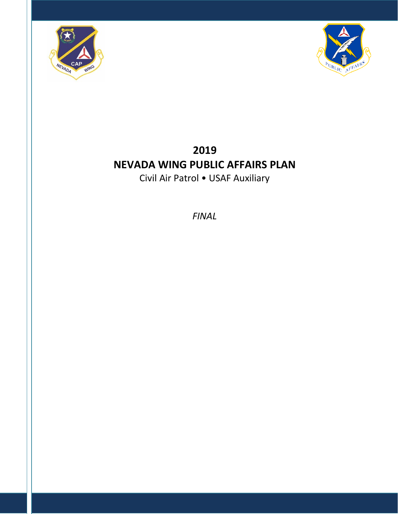



# **2019 NEVADA WING PUBLIC AFFAIRS PLAN** Civil Air Patrol • USAF Auxiliary

*FINAL*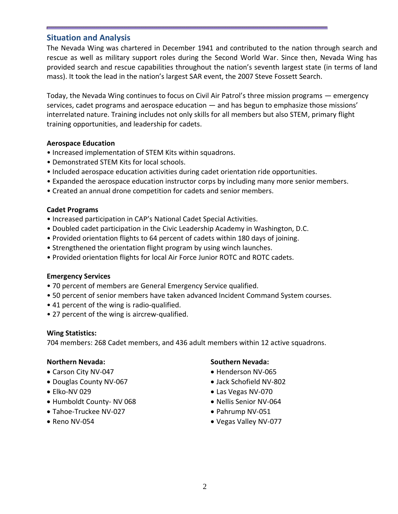# **Situation and Analysis**

The Nevada Wing was chartered in December 1941 and contributed to the nation through search and rescue as well as military support roles during the Second World War. Since then, Nevada Wing has provided search and rescue capabilities throughout the nation's seventh largest state (in terms of land mass). It took the lead in the nation's largest SAR event, the 2007 Steve Fossett Search.

Today, the Nevada Wing continues to focus on Civil Air Patrol's three mission programs — emergency services, cadet programs and aerospace education — and has begun to emphasize those missions' interrelated nature. Training includes not only skills for all members but also STEM, primary flight training opportunities, and leadership for cadets.

### **Aerospace Education**

- Increased implementation of STEM Kits within squadrons.
- Demonstrated STEM Kits for local schools.
- Included aerospace education activities during cadet orientation ride opportunities.
- Expanded the aerospace education instructor corps by including many more senior members.
- Created an annual drone competition for cadets and senior members.

### **Cadet Programs**

- Increased participation in CAP's National Cadet Special Activities.
- Doubled cadet participation in the Civic Leadership Academy in Washington, D.C.
- Provided orientation flights to 64 percent of cadets within 180 days of joining.
- Strengthened the orientation flight program by using winch launches.
- Provided orientation flights for local Air Force Junior ROTC and ROTC cadets.

### **Emergency Services**

- 70 percent of members are General Emergency Service qualified.
- 50 percent of senior members have taken advanced Incident Command System courses.
- 41 percent of the wing is radio-qualified.
- 27 percent of the wing is aircrew-qualified.

### **Wing Statistics:**

704 members: 268 Cadet members, and 436 adult members within 12 active squadrons.

### **Northern Nevada:**

- Carson City NV-047
- Douglas County NV-067
- Elko-NV 029
- Humboldt County- NV 068
- Tahoe-Truckee NV-027
- Reno NV-054

# **Southern Nevada:**

- Henderson NV-065
- Jack Schofield NV-802
- Las Vegas NV-070
- Nellis Senior NV-064
- Pahrump NV-051
- Vegas Valley NV-077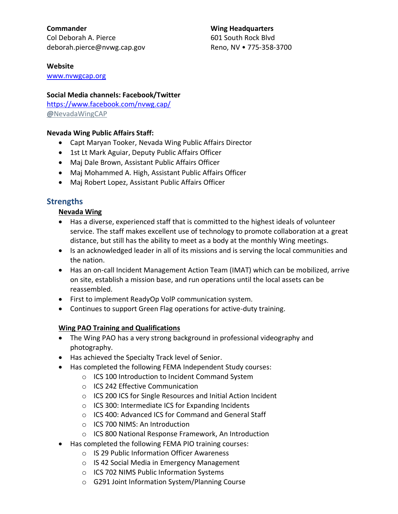**Commander** Col Deborah A. Pierce [deborah.pierce@nvwg.cap.gov](mailto:Deborah.pierce@nvwg.cap.gov) **Wing Headquarters**

601 South Rock Blvd Reno, NV • 775-358-3700

#### **Website**

[www.nvwgcap.org](https://nvwgcap.org/index.html)

## **Social Media channels: Facebook/Twitter**

<https://www.facebook.com/nvwg.cap/> **@**[NevadaWingCAP](https://twitter.com/NevadaWingCAP)

## **Nevada Wing Public Affairs Staff:**

- Capt Maryan Tooker, Nevada Wing Public Affairs Director
- 1st Lt Mark Aguiar, Deputy Public Affairs Officer
- Maj Dale Brown, Assistant Public Affairs Officer
- Maj Mohammed A. High, Assistant Public Affairs Officer
- Maj Robert Lopez, Assistant Public Affairs Officer

# **Strengths**

# **Nevada Wing**

- Has a diverse, experienced staff that is committed to the highest ideals of volunteer service. The staff makes excellent use of technology to promote collaboration at a great distance, but still has the ability to meet as a body at the monthly Wing meetings.
- Is an acknowledged leader in all of its missions and is serving the local communities and the nation.
- Has an on-call Incident Management Action Team (IMAT) which can be mobilized, arrive on site, establish a mission base, and run operations until the local assets can be reassembled.
- First to implement ReadyOp VolP communication system.
- Continues to support Green Flag operations for active-duty training.

# **Wing PAO Training and Qualifications**

- The Wing PAO has a very strong background in professional videography and photography.
- Has achieved the Specialty Track level of Senior.
- Has completed the following FEMA Independent Study courses:
	- o ICS 100 Introduction to Incident Command System
	- o ICS 242 Effective Communication
	- o ICS 200 ICS for Single Resources and Initial Action Incident
	- o ICS 300: Intermediate ICS for Expanding Incidents
	- o ICS 400: Advanced ICS for Command and General Staff
	- o ICS 700 NIMS: An Introduction
	- o ICS 800 National Response Framework, An Introduction
- Has completed the following FEMA PIO training courses:
	- o IS 29 Public Information Officer Awareness
	- o IS 42 Social Media in Emergency Management
	- o ICS 702 NIMS Public Information Systems
	- o G291 Joint Information System/Planning Course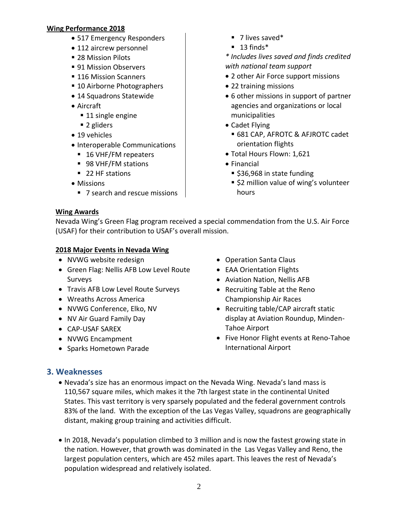## **Wing Performance 2018**

- 517 Emergency Responders
- 112 aircrew personnel
- 28 Mission Pilots
- 91 Mission Observers
- 116 Mission Scanners
- 10 Airborne Photographers
- 14 Squadrons Statewide
- Aircraft
	- 11 single engine
	- 2 gliders
- 19 vehicles
- Interoperable Communications
	- 16 VHF/FM repeaters
	- 98 VHF/FM stations
	- 22 HF stations
- Missions
	- 7 search and rescue missions
- 7 lives saved\*
- $\blacksquare$  13 finds\*

*\* Includes lives saved and finds credited with national team support*

- 2 other Air Force support missions
- 22 training missions
- 6 other missions in support of partner agencies and organizations or local municipalities
- Cadet Flying
	- 681 CAP, AFROTC & AFJROTC cadet orientation flights
- Total Hours Flown: 1,621
- Financial
	- \$36,968 in state funding
	- \$2 million value of wing's volunteer hours

# **Wing Awards**

Nevada Wing's Green Flag program received a special commendation from the U.S. Air Force (USAF) for their contribution to USAF's overall mission.

# **2018 Major Events in Nevada Wing**

- NVWG website redesign
- Green Flag: Nellis AFB Low Level Route Surveys
- Travis AFB Low Level Route Surveys
- Wreaths Across America
- NVWG Conference, Elko, NV
- NV Air Guard Family Day
- CAP-USAF SAREX
- NVWG Encampment
- Sparks Hometown Parade
- Operation Santa Claus
- EAA Orientation Flights
- Aviation Nation, Nellis AFB
- Recruiting Table at the Reno Championship Air Races
- Recruiting table/CAP aircraft static display at Aviation Roundup, Minden-Tahoe Airport
- Five Honor Flight events at Reno-Tahoe International Airport

# **3. Weaknesses**

- Nevada's size has an enormous impact on the Nevada Wing. Nevada's land mass is 110,567 square miles, which makes it the 7th largest state in the continental United States. This vast territory is very sparsely populated and the federal government controls 83% of the land. With the exception of the Las Vegas Valley, squadrons are geographically distant, making group training and activities difficult.
- In 2018, Nevada's population climbed to 3 million and is now the fastest growing state in the nation. However, that growth was dominated in the Las Vegas Valley and Reno, the largest population centers, which are 452 miles apart. This leaves the rest of Nevada's population widespread and relatively isolated.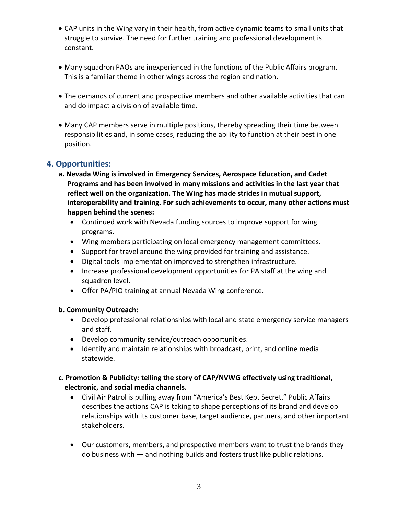- CAP units in the Wing vary in their health, from active dynamic teams to small units that struggle to survive. The need for further training and professional development is constant.
- Many squadron PAOs are inexperienced in the functions of the Public Affairs program. This is a familiar theme in other wings across the region and nation.
- The demands of current and prospective members and other available activities that can and do impact a division of available time.
- Many CAP members serve in multiple positions, thereby spreading their time between responsibilities and, in some cases, reducing the ability to function at their best in one position.

# **4. Opportunities:**

- **a. Nevada Wing is involved in Emergency Services, Aerospace Education, and Cadet Programs and has been involved in many missions and activities in the last year that reflect well on the organization. The Wing has made strides in mutual support, interoperability and training. For such achievements to occur, many other actions must happen behind the scenes:**
	- Continued work with Nevada funding sources to improve support for wing programs.
	- Wing members participating on local emergency management committees.
	- Support for travel around the wing provided for training and assistance.
	- Digital tools implementation improved to strengthen infrastructure.
	- Increase professional development opportunities for PA staff at the wing and squadron level.
	- Offer PA/PIO training at annual Nevada Wing conference.

# **b. Community Outreach:**

- Develop professional relationships with local and state emergency service managers and staff.
- Develop community service/outreach opportunities.
- Identify and maintain relationships with broadcast, print, and online media statewide.

# **c. Promotion & Publicity: telling the story of CAP/NVWG effectively using traditional, electronic, and social media channels.**

- Civil Air Patrol is pulling away from "America's Best Kept Secret." Public Affairs describes the actions CAP is taking to shape perceptions of its brand and develop relationships with its customer base, target audience, partners, and other important stakeholders.
- Our customers, members, and prospective members want to trust the brands they do business with — and nothing builds and fosters trust like public relations.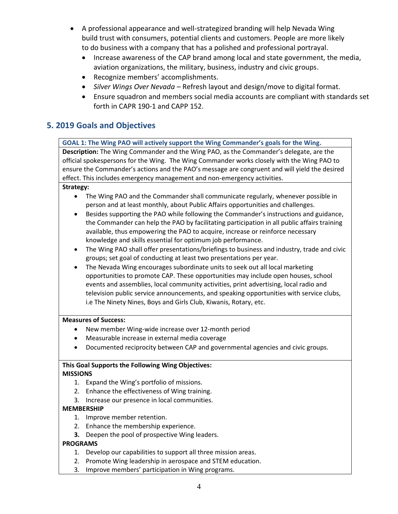- A professional appearance and well-strategized branding will help Nevada Wing build trust with consumers, potential clients and customers. People are more likely to do business with a company that has a polished and professional portrayal.
	- Increase awareness of the CAP brand among local and state government, the media, aviation organizations, the military, business, industry and civic groups.
	- Recognize members' accomplishments.
	- *Silver Wings Over Nevada* Refresh layout and design/move to digital format.
	- Ensure squadron and members social media accounts are compliant with standards set forth in CAPR 190-1 and CAPP 152.

# **5. 2019 Goals and Objectives**

# **GOAL 1: The Wing PAO will actively support the Wing Commander's goals for the Wing.**

**Description:** The Wing Commander and the Wing PAO, as the Commander's delegate, are the official spokespersons for the Wing. The Wing Commander works closely with the Wing PAO to ensure the Commander's actions and the PAO's message are congruent and will yield the desired effect. This includes emergency management and non-emergency activities.

#### **Strategy:**

- The Wing PAO and the Commander shall communicate regularly, whenever possible in person and at least monthly, about Public Affairs opportunities and challenges.
- Besides supporting the PAO while following the Commander's instructions and guidance, the Commander can help the PAO by facilitating participation in all public affairs training available, thus empowering the PAO to acquire, increase or reinforce necessary knowledge and skills essential for optimum job performance.
- The Wing PAO shall offer presentations/briefings to business and industry, trade and civic groups; set goal of conducting at least two presentations per year.
- The Nevada Wing encourages subordinate units to seek out all local marketing opportunities to promote CAP. These opportunities may include open houses, school events and assemblies, local community activities, print advertising, local radio and television public service announcements, and speaking opportunities with service clubs, i.e The Ninety Nines, Boys and Girls Club, Kiwanis, Rotary, etc.

#### **Measures of Success:**

- New member Wing-wide increase over 12-month period
- Measurable increase in external media coverage
- Documented reciprocity between CAP and governmental agencies and civic groups.

#### **This Goal Supports the Following Wing Objectives: MISSIONS**

- 1. Expand the Wing's portfolio of missions.
- 2. Enhance the effectiveness of Wing training.
- 3. Increase our presence in local communities.

#### **MEMBERSHIP**

- 1. Improve member retention.
- 2. Enhance the membership experience.
- **3.** Deepen the pool of prospective Wing leaders.

### **PROGRAMS**

- 1. Develop our capabilities to support all three mission areas.
- 2. Promote Wing leadership in aerospace and STEM education.
- 3. Improve members' participation in Wing programs.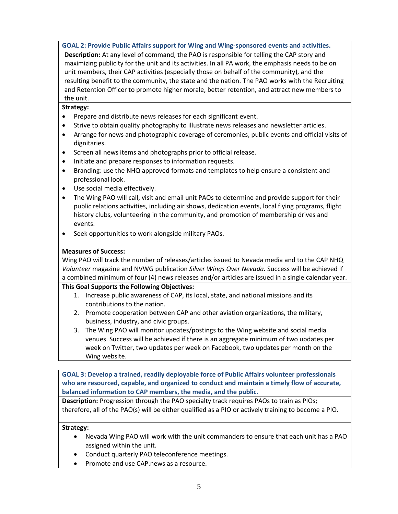**GOAL 2: Provide Public Affairs support for Wing and Wing-sponsored events and activities.**

**Description:** At any level of command, the PAO is responsible for telling the CAP story and maximizing publicity for the unit and its activities. In all PA work, the emphasis needs to be on unit members, their CAP activities (especially those on behalf of the community), and the resulting benefit to the community, the state and the nation. The PAO works with the Recruiting and Retention Officer to promote higher morale, better retention, and attract new members to the unit.

#### **Strategy:**

- Prepare and distribute news releases for each significant event.
- Strive to obtain quality photography to illustrate news releases and newsletter articles.
- Arrange for news and photographic coverage of ceremonies, public events and official visits of dignitaries.
- Screen all news items and photographs prior to official release.
- Initiate and prepare responses to information requests.
- Branding: use the NHQ approved formats and templates to help ensure a consistent and professional look.
- Use social media effectively.
- The Wing PAO will call, visit and email unit PAOs to determine and provide support for their public relations activities, including air shows, dedication events, local flying programs, flight history clubs, volunteering in the community, and promotion of membership drives and events.
- Seek opportunities to work alongside military PAOs.

#### **Measures of Success:**

Wing PAO will track the number of releases/articles issued to Nevada media and to the CAP NHQ *Volunteer* magazine and NVWG publication *Silver Wings Over Nevada.* Success will be achieved if a combined minimum of four (4) news releases and/or articles are issued in a single calendar year.

#### **This Goal Supports the Following Objectives:**

- 1. Increase public awareness of CAP, its local, state, and national missions and its contributions to the nation.
- 2. Promote cooperation between CAP and other aviation organizations, the military, business, industry, and civic groups.
- 3. The Wing PAO will monitor updates/postings to the Wing website and social media venues. Success will be achieved if there is an aggregate minimum of two updates per week on Twitter, two updates per week on Facebook, two updates per month on the Wing website.

**GOAL 3: Develop a trained, readily deployable force of Public Affairs volunteer professionals who are resourced, capable, and organized to conduct and maintain a timely flow of accurate, balanced information to CAP members, the media, and the public.**

**Description:** Progression through the PAO specialty track requires PAOs to train as PIOs; therefore, all of the PAO(s) will be either qualified as a PIO or actively training to become a PIO.

#### **Strategy:**

- Nevada Wing PAO will work with the unit commanders to ensure that each unit has a PAO assigned within the unit.
- Conduct quarterly PAO teleconference meetings.
- Promote and use CAP.news as a resource.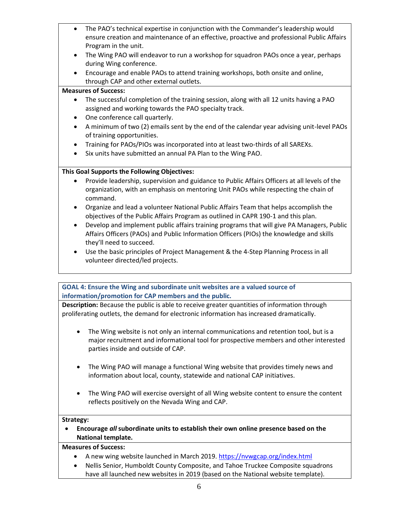- The PAO's technical expertise in conjunction with the Commander's leadership would ensure creation and maintenance of an effective, proactive and professional Public Affairs Program in the unit.
	- The Wing PAO will endeavor to run a workshop for squadron PAOs once a year, perhaps during Wing conference.
	- Encourage and enable PAOs to attend training workshops, both onsite and online, through CAP and other external outlets.

#### **Measures of Success:**

- The successful completion of the training session, along with all 12 units having a PAO assigned and working towards the PAO specialty track.
- One conference call quarterly.
- A minimum of two (2) emails sent by the end of the calendar year advising unit-level PAOs of training opportunities.
- Training for PAOs/PIOs was incorporated into at least two-thirds of all SAREXs.
- Six units have submitted an annual PA Plan to the Wing PAO.

## **This Goal Supports the Following Objectives:**

- Provide leadership, supervision and guidance to Public Affairs Officers at all levels of the organization, with an emphasis on mentoring Unit PAOs while respecting the chain of command.
- Organize and lead a volunteer National Public Affairs Team that helps accomplish the objectives of the Public Affairs Program as outlined in CAPR 190-1 and this plan.
- Develop and implement public affairs training programs that will give PA Managers, Public Affairs Officers (PAOs) and Public Information Officers (PIOs) the knowledge and skills they'll need to succeed.
- Use the basic principles of Project Management & the 4-Step Planning Process in all volunteer directed/led projects.

**GOAL 4: Ensure the Wing and subordinate unit websites are a valued source of information/promotion for CAP members and the public.**

**Description:** Because the public is able to receive greater quantities of information through proliferating outlets, the demand for electronic information has increased dramatically.

- The Wing website is not only an internal communications and retention tool, but is a major recruitment and informational tool for prospective members and other interested parties inside and outside of CAP.
- The Wing PAO will manage a functional Wing website that provides timely news and information about local, county, statewide and national CAP initiatives.
- The Wing PAO will exercise oversight of all Wing website content to ensure the content reflects positively on the Nevada Wing and CAP.

#### **Strategy:**

• **Encourage** *all* **subordinate units to establish their own online presence based on the National template.**

#### **Measures of Success:**

- A new wing website launched in March 2019. <https://nvwgcap.org/index.html>
- Nellis Senior, Humboldt County Composite, and Tahoe Truckee Composite squadrons have all launched new websites in 2019 (based on the National website template).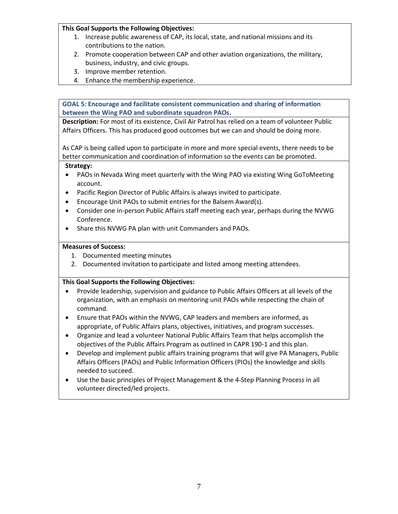#### **This Goal Supports the Following Objectives:**

- 1. Increase public awareness of CAP, its local, state, and national missions and its contributions to the nation.
- 2. Promote cooperation between CAP and other aviation organizations, the military, business, industry, and civic groups.
- 3. Improve member retention.
- 4. Enhance the membership experience.

**GOAL 5: Encourage and facilitate consistent communication and sharing of information between the Wing PAO and subordinate squadron PAOs.**

**Description:** For most of its existence, Civil Air Patrol has relied on a team of volunteer Public Affairs Officers. This has produced good outcomes but we can and should be doing more.

As CAP is being called upon to participate in more and more special events, there needs to be better communication and coordination of information so the events can be promoted.

#### **Strategy:**

- PAOs in Nevada Wing meet quarterly with the Wing PAO via existing Wing GoToMeeting account.
- Pacific Region Director of Public Affairs is always invited to participate.
- Encourage Unit PAOs to submit entries for the Balsem Award(s).
- Consider one in-person Public Affairs staff meeting each year, perhaps during the NVWG Conference.
- Share this NVWG PA plan with unit Commanders and PAOs.

#### **Measures of Success:**

- 1. Documented meeting minutes
- 2. Documented invitation to participate and listed among meeting attendees.

### **This Goal Supports the Following Objectives:**

- Provide leadership, supervision and guidance to Public Affairs Officers at all levels of the organization, with an emphasis on mentoring unit PAOs while respecting the chain of command.
- Ensure that PAOs within the NVWG, CAP leaders and members are informed, as appropriate, of Public Affairs plans, objectives, initiatives, and program successes.
- Organize and lead a volunteer National Public Affairs Team that helps accomplish the objectives of the Public Affairs Program as outlined in CAPR 190-1 and this plan.
- Develop and implement public affairs training programs that will give PA Managers, Public Affairs Officers (PAOs) and Public Information Officers (PIOs) the knowledge and skills needed to succeed.
- Use the basic principles of Project Management & the 4-Step Planning Process in all volunteer directed/led projects.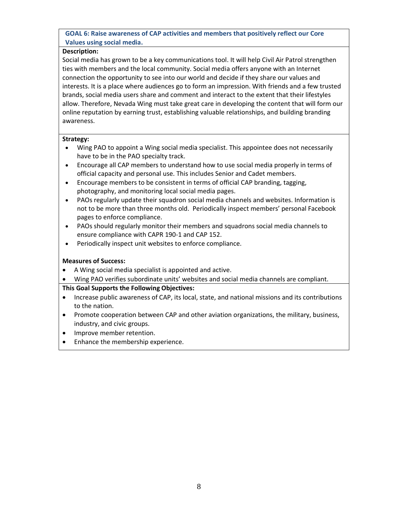**GOAL 6: Raise awareness of CAP activities and members that positively reflect our Core Values using social media.**

#### **Description:**

Social media has grown to be a key communications tool. It will help Civil Air Patrol strengthen ties with members and the local community. Social media offers anyone with an Internet connection the opportunity to see into our world and decide if they share our values and interests. It is a place where audiences go to form an impression. With friends and a few trusted brands, social media users share and comment and interact to the extent that their lifestyles allow. Therefore, Nevada Wing must take great care in developing the content that will form our online reputation by earning trust, establishing valuable relationships, and building branding awareness.

#### **Strategy:**

- Wing PAO to appoint a Wing social media specialist. This appointee does not necessarily have to be in the PAO specialty track.
- Encourage all CAP members to understand how to use social media properly in terms of official capacity and personal use. This includes Senior and Cadet members.
- Encourage members to be consistent in terms of official CAP branding, tagging, photography, and monitoring local social media pages.
- PAOs regularly update their squadron social media channels and websites. Information is not to be more than three months old. Periodically inspect members' personal Facebook pages to enforce compliance.
- PAOs should regularly monitor their members and squadrons social media channels to ensure compliance with CAPR 190-1 and CAP 152.
- Periodically inspect unit websites to enforce compliance.

#### **Measures of Success:**

- A Wing social media specialist is appointed and active.
- Wing PAO verifies subordinate units' websites and social media channels are compliant.

#### **This Goal Supports the Following Objectives:**

- Increase public awareness of CAP, its local, state, and national missions and its contributions to the nation.
- Promote cooperation between CAP and other aviation organizations, the military, business, industry, and civic groups.
- Improve member retention.
- Enhance the membership experience.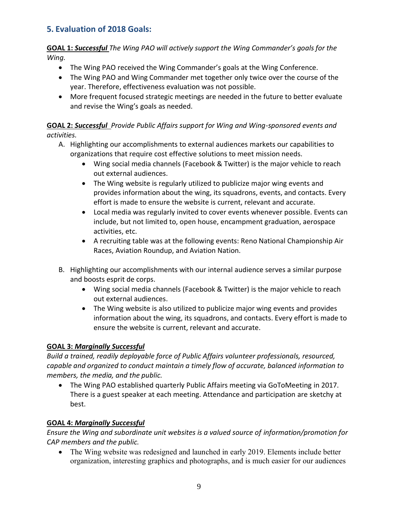# **5. Evaluation of 2018 Goals:**

**GOAL 1:** *Successful The Wing PAO will actively support the Wing Commander's goals for the Wing.*

- The Wing PAO received the Wing Commander's goals at the Wing Conference.
- The Wing PAO and Wing Commander met together only twice over the course of the year. Therefore, effectiveness evaluation was not possible.
- More frequent focused strategic meetings are needed in the future to better evaluate and revise the Wing's goals as needed.

# **GOAL 2:** *Successful Provide Public Affairs support for Wing and Wing-sponsored events and activities.*

- A. Highlighting our accomplishments to external audiences markets our capabilities to organizations that require cost effective solutions to meet mission needs.
	- Wing social media channels (Facebook & Twitter) is the major vehicle to reach out external audiences.
	- The Wing website is regularly utilized to publicize major wing events and provides information about the wing, its squadrons, events, and contacts. Every effort is made to ensure the website is current, relevant and accurate.
	- Local media was regularly invited to cover events whenever possible. Events can include, but not limited to, open house, encampment graduation, aerospace activities, etc.
	- A recruiting table was at the following events: Reno National Championship Air Races, Aviation Roundup, and Aviation Nation.
- B. Highlighting our accomplishments with our internal audience serves a similar purpose and boosts esprit de corps.
	- Wing social media channels (Facebook & Twitter) is the major vehicle to reach out external audiences.
	- The Wing website is also utilized to publicize major wing events and provides information about the wing, its squadrons, and contacts. Every effort is made to ensure the website is current, relevant and accurate.

# **GOAL 3:** *Marginally Successful*

*Build a trained, readily deployable force of Public Affairs volunteer professionals, resourced, capable and organized to conduct maintain a timely flow of accurate, balanced information to members, the media, and the public.*

• The Wing PAO established quarterly Public Affairs meeting via GoToMeeting in 2017. There is a guest speaker at each meeting. Attendance and participation are sketchy at best.

# **GOAL 4:** *Marginally Successful*

*Ensure the Wing and subordinate unit websites is a valued source of information/promotion for CAP members and the public.*

• The Wing website was redesigned and launched in early 2019. Elements include better organization, interesting graphics and photographs, and is much easier for our audiences